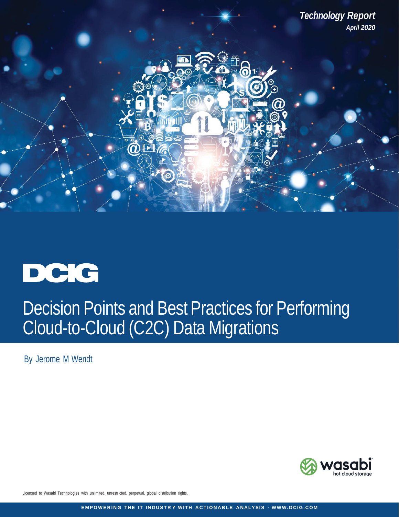



By Jerome M Wendt



Licensed to Wasabi Technologies with unlimited, unrestricted, perpetual, global distribution rights.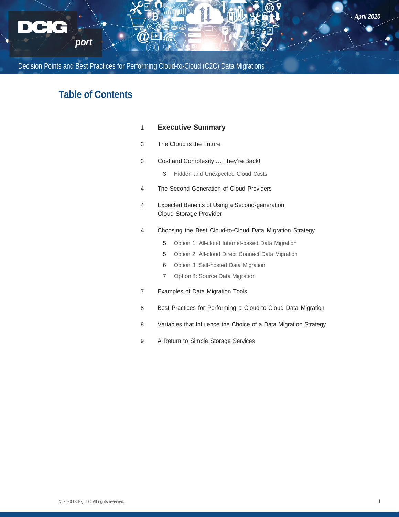

# **Table of Contents**

# **[Executive](#page-2-0) [Summary](#page-2-0)**

- The [Cloud](#page-4-0) is the [Future](#page-4-0)
- Cost and [Complexity](#page-4-0) … They're Back!
	- Hidden and [Unexpected](#page-4-0) Cloud Costs
- The Second [Generation](#page-5-0) of Cloud Providers
- [Expected Benefits of Using a Second-generation](#page-5-0) [Cloud Storage Provider](#page-5-0)
- Choosing the Best [Cloud-to-Cloud](#page-5-0) Data Migration [Strategy](#page-5-0)
	- Option 1: All-cloud [Internet-based](#page-6-0) Data Migration
	- Option 2: All-cloud Direct Connect Data [Migration](#page-6-0)
	- Option 3: [Self-hosted](#page-7-0) Data Migration
	- Option 4: Source Data [Migration](#page-8-0)
- [Examples](#page-8-0) of Data Migration Tools
- Best Practices for Performing a [Cloud-to-Cloud](#page-9-0) Data Migration
- [Variables](#page-9-0) that Influence the Choice of a Data Migration Strategy
- 9 A Return to Simple Storage [Services](#page-10-0)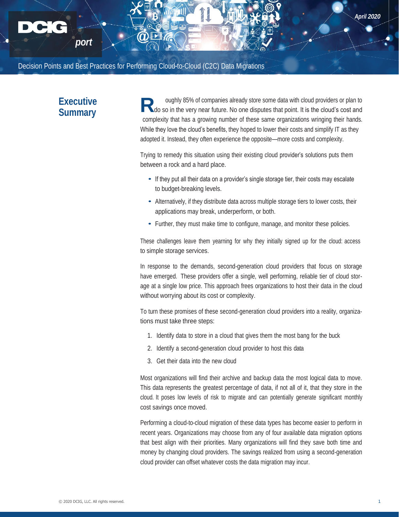# **Executive Summary**

*port*

<span id="page-2-0"></span>*Technology Re*

oughly 85% of companies already store some data with cloud providers or plan to Ado so in the very near future. No one disputes that point. It is the cloud's cost and complexity that has a growing number of these same organizations wringing their hands. While they love the cloud's benefits, they hoped to lower their costs and simplify IT as they adopted it. Instead, they often experience the opposite—more costs and complexity.

Trying to remedy this situation using their existing cloud provider's solutions puts them between a rock and a hard place.

- If they put all their data on a provider's single storage tier, their costs may escalate to budget-breaking levels.
- Alternatively, if they distribute data across multiple storage tiers to lower costs, their applications may break, underperform, or both.
- Further, they must make time to configure, manage, and monitor these policies.

These challenges leave them yearning for why they initially signed up for the cloud: access to simple storage services.

In response to the demands, second-generation cloud providers that focus on storage have emerged. These providers offer a single, well performing, reliable tier of cloud storage at a single low price. This approach frees organizations to host their data in the cloud without worrying about its cost or complexity.

To turn these promises of these second-generation cloud providers into a reality, organizations must take three steps:

- 1. Identify data to store in a cloud that gives them the most bang for the buck
- 2. Identify a second-generation cloud provider to host this data
- 3. Get their data into the new cloud

Most organizations will find their archive and backup data the most logical data to move. This data represents the greatest percentage of data, if not all of it, that they store in the cloud. It poses low levels of risk to migrate and can potentially generate significant monthly cost savings once moved.

Performing a cloud-to-cloud migration of these data types has become easier to perform in recent years. Organizations may choose from any of four available data migration options that best align with their priorities. Many organizations will find they save both time and money by changing cloud providers. The savings realized from using a second-generation cloud provider can offset whatever costs the data migration may incur.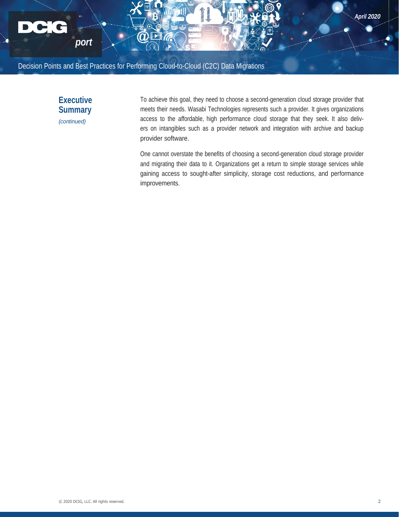



To achieve this goal, they need to choose a second-generation cloud storage provider that meets their needs. Wasabi Technologies represents such a provider. It gives organizations access to the affordable, high performance cloud storage that they seek. It also delivers on intangibles such as a provider network and integration with archive and backup provider software.

One cannot overstate the benefits of choosing a second-generation cloud storage provider and migrating their data to it. Organizations get a return to simple storage services while gaining access to sought-after simplicity, storage cost reductions, and performance improvements.

*April 2020*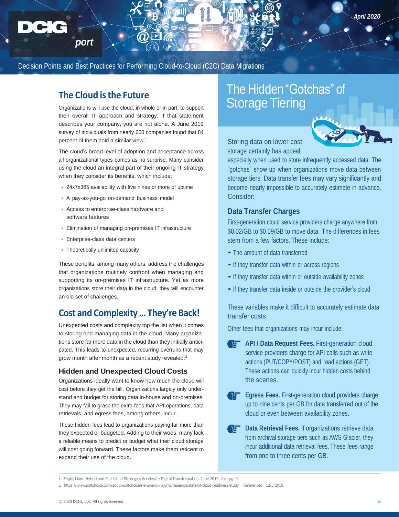# **The Cloud isthe Future**

*port*

<span id="page-4-0"></span>*Technology Re*

Organizations will use the cloud, in whole or in part, to support their overall IT approach and strategy. If that statement describes your company, you are not alone. A June 2019 survey of individuals from nearly 600 companies found that 84 percent of them hold a similar view.<sup>1</sup>

The cloud's broad level of adoption and acceptance across all organizational types comes as no surprise. Many consider using the cloud an integral part of their ongoing IT strategy when they consider its benefits, which include:

- **•** 24x7x365 availability with five nines or more of uptime
- **•** A pay-as-you-go on-demand business model
- **•** Access to enterprise-class hardware and software features
- **•** Elimination of managing on-premises IT infrastructure
- **•** Enterprise-class data centers
- **•** Theoretically unlimited capacity

These benefits, among many others, address the challenges that organizations routinely confront when managing and supporting its on-premises IT infrastructure. Yet as more organizations store their data in the cloud, they will encounter an old set of challenges.

# **Cost and Complexity… They're Back!**

Unexpected costs and complexity top the list when it comes to storing and managing data in the cloud. Many organizations store far more data in the cloud than they initially anticipated. This leads to unexpected, recurring overruns that may grow month after month as a recent study revealed.<sup>2</sup>

## **Hidden and Unexpected Cloud Costs**

Organizations ideally want to know how much the cloud will cost before they get the bill. Organizations largely only understand and budget for storing data in-house and on-premises. They may fail to grasp the extra fees that API operations, data retrievals, and egress fees, among others, incur.

These hidden fees lead to organizations paying far more than they expected or budgeted. Adding to their woes, many lack a reliable means to predict or budget what their cloud storage will cost going forward. These factors make them reticent to expand their use of the cloud.

# The Hidden "Gotchas" of **Storage Tiering**



Storing data on lower cost storage certainly has appeal,

especially when used to store infrequently accessed data. The "gotchas" show up when organizations move data between storage tiers. Data transfer fees may vary significantly and become nearly impossible to accurately estimate in advance. Consider:

# **Data Transfer Charges**

First-generation cloud service providers charge anywhere from \$0.02/GB to \$0.09/GB to move data. The differences in fees stem from a few factors. These include:

- The amount of data transferred
- If they transfer data within or across regions
- If they transfer data within or outside availability zones
- If they transfer data inside or outside the provider's cloud

These variables make it difficult to accurately estimate data transfer costs.

Other fees that organizations may incur include:

- **API** / Data Request Fees. First-generation cloud service providers charge for API calls such as write actions (PUT/COPY/POST) and read actions (GET). These actions can quickly incur hidden costs behind the scenes.
- **Egress Fees.** First-generation cloud providers charge up to nine cents per GB for data transferred out of the cloud or even between availability zones.
	- **Data Retrieval Fees.** If organizations retrieve data from archival storage tiers such as AWS Glacier, they incur additional data retrieval fees. These fees range from one to three cents per GB.

<sup>1.</sup> Eagle, Liam. Hybrid and Multicloud Strategies Accelerate Digital Transformation. June 2019, link, pg. 9.

<sup>2.</sup> [https://www.s](http://www.softchoice.com/about-softchoice/news-and-insights/research/state-of-cloud-readiness-study)oft[choice.com/about-softchoice/news-and-insights/research/state-of-cloud-readiness-study.](http://www.softchoice.com/about-softchoice/news-and-insights/research/state-of-cloud-readiness-study) Referenced 12/3/2019.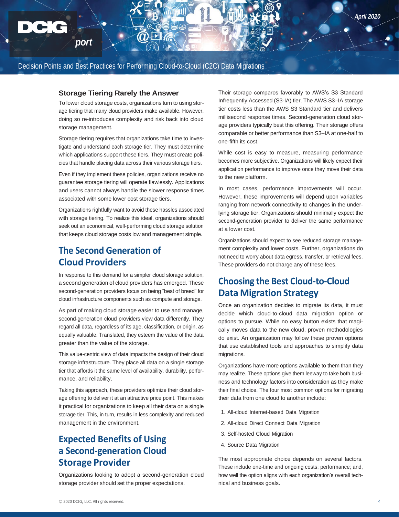## **Storage Tiering Rarely the Answer**

<span id="page-5-0"></span>*Technology Re*

*port*

To lower cloud storage costs, organizations turn to using storage tiering that many cloud providers make available. However, doing so re-introduces complexity and risk back into cloud storage management.

Storage tiering requires that organizations take time to investigate and understand each storage tier. They must determine which applications support these tiers. They must create policies that handle placing data across their various storage tiers.

Even if they implement these policies, organizations receive no guarantee storage tiering will operate flawlessly. Applications and users cannot always handle the slower response times associated with some lower cost storage tiers.

Organizations rightfully want to avoid these hassles associated with storage tiering. To realize this ideal, organizations should seek out an economical, well-performing cloud storage solution that keeps cloud storage costs low and management simple.

# **The Second Generation of Cloud Providers**

In response to this demand for a simpler cloud storage solution, a second generation of cloud providers has emerged. These second-generation providers focus on being "best of breed" for cloud infrastructure components such as compute and storage.

As part of making cloud storage easier to use and manage, second-generation cloud providers view data differently. They regard all data, regardless of its age, classification, or origin, as equally valuable. Translated, they esteem the value of the data greater than the value of the storage.

This value-centric view of data impacts the design of their cloud storage infrastructure. They place all data on a single storage tier that affords it the same level of availability, durability, performance, and reliability.

Taking this approach, these providers optimize their cloud storage offering to deliver it at an attractive price point. This makes it practical for organizations to keep all their data on a single storage tier. This, in turn, results in less complexity and reduced management in the environment.

# **Expected Benefits of Using a Second-generation Cloud Storage Provider**

Organizations looking to adopt a second-generation cloud storage provider should set the proper expectations.

Their storage compares favorably to AWS's S3 Standard Infrequently Accessed (S3-IA) tier. The AWS S3–IA storage tier costs less than the AWS S3 Standard tier and delivers millisecond response times. Second-generation cloud storage providers typically best this offering. Their storage offers comparable or better performance than S3–IA at one-half to one-fifth its cost.

While cost is easy to measure, measuring performance becomes more subjective. Organizations will likely expect their application performance to improve once they move their data to the new platform.

In most cases, performance improvements will occur. However, these improvements will depend upon variables ranging from network connectivity to changes in the underlying storage tier. Organizations should minimally expect the second-generation provider to deliver the same performance at a lower cost.

Organizations should expect to see reduced storage management complexity and lower costs. Further, organizations do not need to worry about data egress, transfer, or retrieval fees. These providers do not charge any of these fees.

# **Choosing the Best Cloud-to-Cloud Data Migration Strategy**

Once an organization decides to migrate its data, it must decide which cloud-to-cloud data migration option or options to pursue. While no easy button exists that magically moves data to the new cloud, proven methodologies do exist. An organization may follow these proven options that use established tools and approaches to simplify data migrations.

Organizations have more options available to them than they may realize. These options give them leeway to take both business and technology factors into consideration as they make their final choice. The four most common options for migrating their data from one cloud to another include:

- 1. All-cloud Internet-based Data Migration
- 2. All-cloud Direct Connect Data Migration
- 3. Self-hosted Cloud Migration
- 4. Source Data Migration

The most appropriate choice depends on several factors. These include one-time and ongoing costs; performance; and, how well the option aligns with each organization's overall technical and business goals.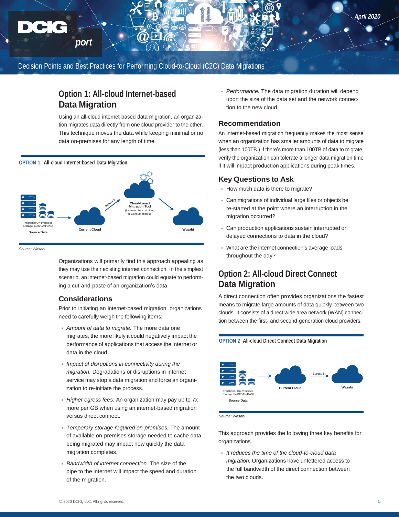# **Option 1: All-cloud Internet-based Data Migration**

Using an all-cloud internet-based data migration, an organization migrates data directly from one cloud provider to the other. This technique moves the data while keeping minimal or no data on-premises for any length of time.



*Source: Wasabi*

<span id="page-6-0"></span>*Technology Re*

*port*

Organizations will primarily find this approach appealing as they may use their existing internet connection. In the simplest scenario, an internet-based migration could equate to performing a cut-and-paste of an organization's data.

## **Considerations**

Prior to initiating an internet-based migration, organizations need to carefully weigh the following items:

- **•** *Amount of data to migrate.* The more data one migrates, the more likely it could negatively impact the performance of applications that access the internet or data in the cloud.
- **•** *Impact of disruptions in connectivity during the migration.* Degradations or disruptions in internet service may stop a data migration and force an organization to re-initiate the process.
- **•** *Higher egress fees.* An organization may pay up to 7x more per GB when using an internet-based migration versus direct connect.
- **•** *Temporary storage required on-premises.* The amount of available on-premises storage needed to cache data being migrated may impact how quickly the data migration completes.
- **•** *Bandwidth of internet connection.* The size of the pipe to the internet will impact the speed and duration of the migration.

**•** *Performance.* The data migration duration will depend upon the size of the data set and the network connection to the new cloud.

# **Recommendation**

An internet-based migration frequently makes the most sense when an organization has smaller amounts of data to migrate (less than 100TB.) If there's more than 100TB of data to migrate, verify the organization can tolerate a longer data migration time if it will impact production applications during peak times.

# **Key Questions to Ask**

- **•** How much data is there to migrate?
- **•** Can migrations of individual large files or objects be re-started at the point where an interruption in the migration occurred?
- **•** Can production applications sustain interrupted or delayed connections to data in the cloud?
- **•** What are the internet connection's average loads throughout the day?

# **Option 2: All-cloud Direct Connect Data Migration**

A direct connection often provides organizations the fastest means to migrate large amounts of data quickly between two clouds. It consists of a direct wide area network (WAN) connection between the first- and second-generation cloud providers.

# **OPTION 2 All-cloud Direct Connect Data Migration** Egress \$ **Current Cloud Wasabi** Traditional On-Premises Storage (NAS/SAN/DAS) **Source Data**

*Source: Wasabi*

This approach provides the following three key benefits for organizations.

**•** *It reduces the time of the cloud-to-cloud data migration.* Organizations have unfettered access to the full bandwidth of the direct connection between the two clouds.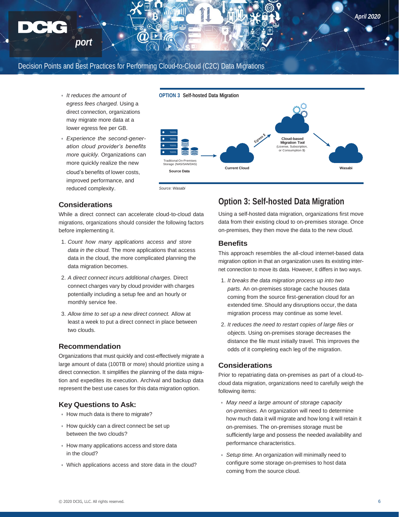**•** *It reduces the amount of egress fees charged.* Using a direct connection, organizations may migrate more data at a lower egress fee per GB.

*port*

<span id="page-7-0"></span>*Technology Re*

**•** *Experience the second-generation cloud provider's benefits more quickly.* Organizations can more quickly realize the new cloud's benefits of lower costs, improved performance, and reduced complexity.



*Source: Wasabi*

# **Considerations**

While a direct connect can accelerate cloud-to-cloud data migrations, organizations should consider the following factors before implementing it.

- 1. *Count how many applications access and store data in the cloud.* The more applications that access data in the cloud, the more complicated planning the data migration becomes.
- 2. *A direct connect incurs additional charges.* Direct connect charges vary by cloud provider with charges potentially including a setup fee and an hourly or monthly service fee.
- 3. *Allow time to set up a new direct connect.* Allow at least a week to put a direct connect in place between two clouds.

## **Recommendation**

Organizations that must quickly and cost-effectively migrate a large amount of data (100TB or more) should prioritize using a direct connection. It simplifies the planning of the data migration and expedites its execution. Archival and backup data represent the best use cases for this data migration option.

## **Key Questions to Ask:**

- **•** How much data is there to migrate?
- **•** How quickly can a direct connect be set up between the two clouds?
- **•** How many applications access and store data in the cloud?
- **•** Which applications access and store data in the cloud?

# **Option 3: Self-hosted Data Migration**

Using a self-hosted data migration, organizations first move data from their existing cloud to on-premises storage. Once on-premises, they then move the data to the new cloud.

# **Benefits**

This approach resembles the all-cloud internet-based data migration option in that an organization uses its existing internet connection to move its data. However, it differs in two ways.

- 1. *It breaks the data migration process up into two parts.* An on-premises storage cache houses data coming from the source first-generation cloud for an extended time. Should any disruptions occur, the data migration process may continue as some level.
- 2. *It reduces the need to restart copies of large files or objects.* Using on-premises storage decreases the distance the file must initially travel. This improves the odds of it completing each leg of the migration.

# **Considerations**

Prior to repatriating data on-premises as part of a cloud-tocloud data migration, organizations need to carefully weigh the following items:

- **•** *May need a large amount of storage capacity on-premises.* An organization will need to determine how much data it will migrate and how long it will retain it on-premises. The on-premises storage must be sufficiently large and possess the needed availability and performance characteristics.
- **•** *Setup time.* An organization will minimally need to configure some storage on-premises to host data coming from the source cloud.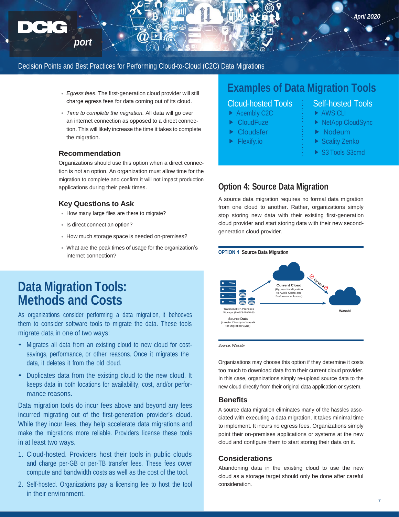- **•** *Egress fees.* The first-generation cloud provider will still charge egress fees for data coming out of its cloud.
- **•** *Time to complete the migration.* All data will go over an internet connection as opposed to a direct connection. This will likely increase the time it takes to complete the migration.

## **Recommendation**

*port*

*Technology Re*

Organizations should use this option when a direct connection is not an option. An organization must allow time for the migration to complete and confirm it will not impact production applications during their peak times.

## **Key Questions to Ask**

- **•** How many large files are there to migrate?
- **•** Is direct connect an option?
- **•** How much storage space is needed on-premises?
- **•** What are the peak times of usage for the organization's internet connection?

# **Data Migration Tools: Methods and Costs**

As organizations consider performing a data migration, it behooves them to consider software tools to migrate the data. These tools migrate data in one of two ways:

- Migrates all data from an existing cloud to new cloud for costsavings, performance, or other reasons. Once it migrates the data, it deletes it from the old cloud.
- Duplicates data from the existing cloud to the new cloud. It keeps data in both locations for availability, cost, and/or performance reasons.

Data migration tools do incur fees above and beyond any fees incurred migrating out of the first-generation provider's cloud. While they incur fees, they help accelerate data migrations and make the migrations more reliable. Providers license these tools in at least two ways.

- 1. Cloud-hosted. Providers host their tools in public clouds and charge per-GB or per-TB transfer fees. These fees cover compute and bandwidth costs as well as the cost of the tool.
- 2. Self-hosted. Organizations pay a licensing fee to host the tool in their environment.

# **Examples of Data Migration Tools**

# Cloud-hosted Tools Self-hosted Tools

- ▶ Acembly C2C  $\rightarrow$  AWS CLI
- 
- ▶ Cloudsfer **Example 2** Nodeum
- 

- <span id="page-8-0"></span>
- CloudFuze **NetApp CloudSync** 
	-
- ► Flexify.io  $\rightarrow$  Scality Zenko
	- ▶ S3 Tools S3cmd

# **Option 4: Source Data Migration**

A source data migration requires no formal data migration from one cloud to another. Rather, organizations simply stop storing new data with their existing first-generation cloud provider and start storing data with their new secondgeneration cloud provider.



*Source: Wasabi*

Organizations may choose this option if they determine it costs too much to download data from their current cloud provider. In this case, organizations simply re-upload source data to the new cloud directly from their original data application or system.

#### **Benefits**

A source data migration eliminates many of the hassles associated with executing a data migration. It takes minimal time to implement. It incurs no egress fees. Organizations simply point their on-premises applications or systems at the new cloud and configure them to start storing their data on it.

# **Considerations**

Abandoning data in the existing cloud to use the new cloud as a storage target should only be done after careful consideration.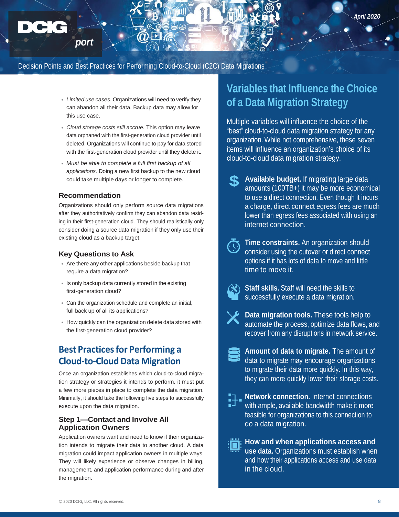- **•** *Limited use cases.* Organizations will need to verify they can abandon all their data. Backup data may allow for this use case.
- **•** *Cloud storage costs still accrue.* This option may leave data orphaned with the first-generation cloud provider until deleted. Organizations will continue to pay for data stored with the first-generation cloud provider until they delete it.
- **•** *Must be able to complete a full first backup of all applications.* Doing a new first backup to the new cloud could take multiple days or longer to complete.

## **Recommendation**

*port*

<span id="page-9-0"></span>*Technology Re*

Organizations should only perform source data migrations after they authoritatively confirm they can abandon data residing in their first-generation cloud. They should realistically only consider doing a source data migration if they only use their existing cloud as a backup target.

## **Key Questions to Ask**

- **•** Are there any other applications beside backup that require a data migration?
- **•** Is only backup data currently stored in the existing first-generation cloud?
- **•** Can the organization schedule and complete an initial, full back up of all its applications?
- **•** How quickly can the organization delete data stored with the first-generation cloud provider?

# **Best Practices for Performing a Cloud-to-Cloud Data Migration**

Once an organization establishes which cloud-to-cloud migration strategy or strategies it intends to perform, it must put a few more pieces in place to complete the data migration. Minimally, it should take the following five steps to successfully execute upon the data migration.

# **Step 1—Contact and Involve All Application Owners**

Application owners want and need to know if their organization intends to migrate their data to another cloud. A data migration could impact application owners in multiple ways. They will likely experience or observe changes in billing, management, and application performance during and after the migration.

# **Variables that Influence the Choice of a Data Migration Strategy**

Multiple variables will influence the choice of the "best" cloud-to-cloud data migration strategy for any organization. While not comprehensive, these seven items will influence an organization's choice of its cloud-to-cloud data migration strategy.

- **Available budget.** If migrating large data amounts (100TB+) it may be more economical to use a direct connection. Even though it incurs a charge, direct connect egress fees are much lower than egress fees associated with using an internet connection. **\$**
- **Time constraints.** An organization should **R** consider using the cutover or direct connect options if it has lots of data to move and little time to move it.



**Staff skills.** Staff will need the skills to successfully execute a data migration.

**Data migration tools.** These tools help to automate the process, optimize data flows, and recover from any disruptions in network service.

- **Amount of data to migrate.** The amount of data to migrate may encourage organizations to migrate their data more quickly. In this way, they can more quickly lower their storage costs.
- **Network connection.** Internet connections with ample, available bandwidth make it more feasible for organizations to this connection to do a data migration.
- **How and when applications access and**  ▌□▏ **use data.** Organizations must establish when and how their applications access and use data in the cloud.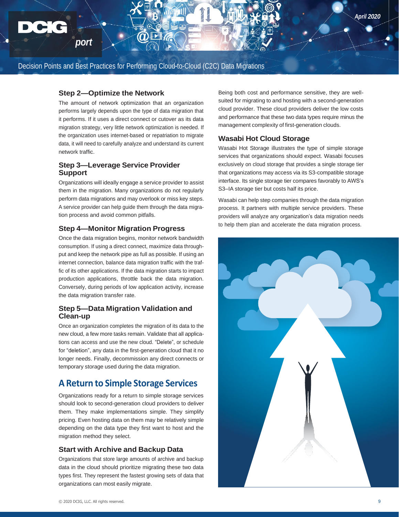# **Step 2—Optimize the Network**

*port*

<span id="page-10-0"></span>*Technology Re*

The amount of network optimization that an organization performs largely depends upon the type of data migration that it performs. If it uses a direct connect or cutover as its data migration strategy, very little network optimization is needed. If the organization uses internet-based or repatriation to migrate data, it will need to carefully analyze and understand its current network traffic.

# **Step 3—Leverage Service Provider Support**

Organizations will ideally engage a service provider to assist them in the migration. Many organizations do not regularly perform data migrations and may overlook or miss key steps. A service provider can help guide them through the data migration process and avoid common pitfalls.

## **Step 4—Monitor Migration Progress**

Once the data migration begins, monitor network bandwidth consumption. If using a direct connect, maximize data throughput and keep the network pipe as full as possible. If using an internet connection, balance data migration traffic with the traffic of its other applications. If the data migration starts to impact production applications, throttle back the data migration. Conversely, during periods of low application activity, increase the data migration transfer rate.

# **Step 5—Data Migration Validation and Clean-up**

Once an organization completes the migration of its data to the new cloud, a few more tasks remain. Validate that all applications can access and use the new cloud. "Delete", or schedule for "deletion", any data in the first-generation cloud that it no longer needs. Finally, decommission any direct connects or temporary storage used during the data migration.

# **A Return to Simple Storage Services**

Organizations ready for a return to simple storage services should look to second-generation cloud providers to deliver them. They make implementations simple. They simplify pricing. Even hosting data on them may be relatively simple depending on the data type they first want to host and the migration method they select.

## **Start with Archive and Backup Data**

Organizations that store large amounts of archive and backup data in the cloud should prioritize migrating these two data types first. They represent the fastest growing sets of data that organizations can most easily migrate.

Being both cost and performance sensitive, they are wellsuited for migrating to and hosting with a second-generation cloud provider. These cloud providers deliver the low costs and performance that these two data types require minus the management complexity of first-generation clouds.

## **Wasabi Hot Cloud Storage**

Wasabi Hot Storage illustrates the type of simple storage services that organizations should expect. Wasabi focuses exclusively on cloud storage that provides a single storage tier that organizations may access via its S3-compatible storage interface. Its single storage tier compares favorably to AWS's S3–IA storage tier but costs half its price.

Wasabi can help step companies through the data migration process. It partners with multiple service providers. These providers will analyze any organization's data migration needs to help them plan and accelerate the data migration process.